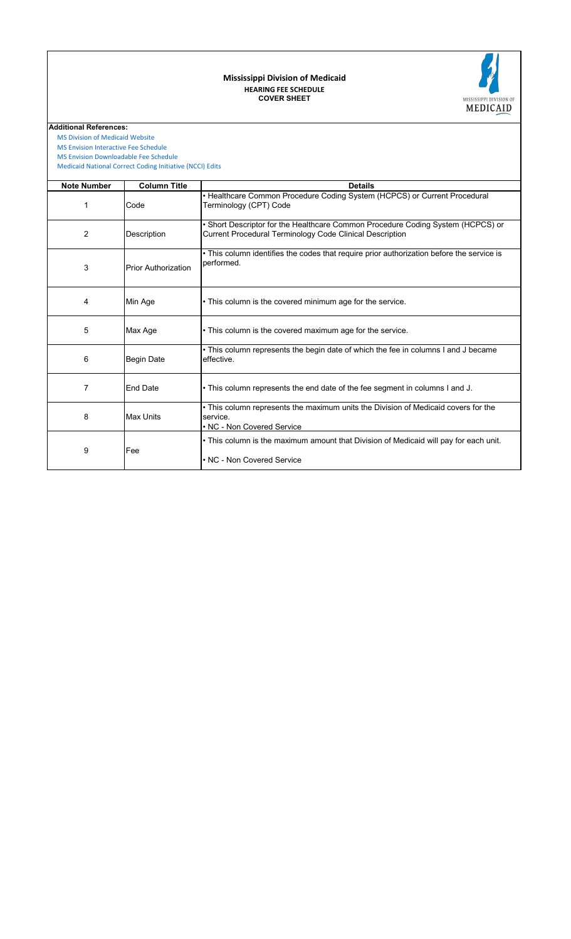## **COVER SHEET HEARING FEE SCHEDULE Mississippi Division of Medicaid**



 [MS Division of Medicai](https://medicaid.ms.gov/)d Website

 [MS Envision Interactive](https://www.ms-medicaid.com/msenvision/feeScheduleInquiry.do) Fee Schedule

 [Medicaid National Corr](https://www.medicaid.gov/medicaid/program-integrity/national-correct-coding-initiative/medicaid-ncci-edit-files/index.html)ect Coding Initiative (NCCI) Edits  [MS Envision Download](https://www.ms-medicaid.com/msenvision/AMA_ADA_licenseAgreement.do?strUrl=feeScheduleInquiry)able Fee Schedule

| <b>Note Number</b> | <b>Column Title</b>        | <b>Details</b>                                                                                                                              |  |  |  |  |
|--------------------|----------------------------|---------------------------------------------------------------------------------------------------------------------------------------------|--|--|--|--|
| 1                  | Code                       | • Healthcare Common Procedure Coding System (HCPCS) or Current Procedural<br>Terminology (CPT) Code                                         |  |  |  |  |
| 2                  | Description                | • Short Descriptor for the Healthcare Common Procedure Coding System (HCPCS) or<br>Current Procedural Terminology Code Clinical Description |  |  |  |  |
| 3                  | <b>Prior Authorization</b> | • This column identifies the codes that require prior authorization before the service is<br>performed.                                     |  |  |  |  |
| 4                  | Min Age                    | • This column is the covered minimum age for the service.                                                                                   |  |  |  |  |
| 5                  | Max Age                    | • This column is the covered maximum age for the service.                                                                                   |  |  |  |  |
| 6                  | <b>Begin Date</b>          | • This column represents the begin date of which the fee in columns I and J became<br>effective.                                            |  |  |  |  |
| 7                  | <b>End Date</b>            | . This column represents the end date of the fee segment in columns I and J.                                                                |  |  |  |  |
| 8                  | <b>Max Units</b>           | • This column represents the maximum units the Division of Medicaid covers for the<br>service.<br>• NC - Non Covered Service                |  |  |  |  |
| 9                  | Fee                        | • This column is the maximum amount that Division of Medicaid will pay for each unit.<br>• NC - Non Covered Service                         |  |  |  |  |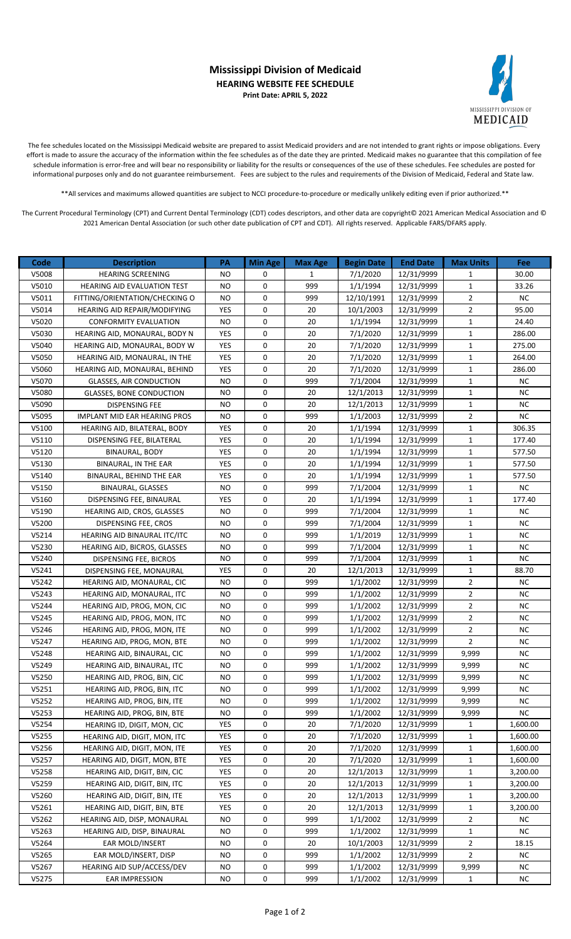## **Mississippi Division of Medicaid HEARING WEBSITE FEE SCHEDULE Print Date: APRIL 5, 2022**



The fee schedules located on the Mississippi Medicaid website are prepared to assist Medicaid providers and are not intended to grant rights or impose obligations. Every effort is made to assure the accuracy of the information within the fee schedules as of the date they are printed. Medicaid makes no guarantee that this compilation of fee schedule information is error-free and will bear no responsibility or liability for the results or consequences of the use of these schedules. Fee schedules are posted for informational purposes only and do not guarantee reimbursement. Fees are subject to the rules and requirements of the Division of Medicaid, Federal and State law.

\*\*All services and maximums allowed quantities are subject to NCCI procedure-to-procedure or medically unlikely editing even if prior authorized.\*\*

The Current Procedural Terminology (CPT) and Current Dental Terminology (CDT) codes descriptors, and other data are copyright© 2021 American Medical Association and © 2021 American Dental Association (or such other date publication of CPT and CDT). All rights reserved. Applicable FARS/DFARS apply.

| Code  | <b>Description</b>                 | PA         | <b>Min Age</b> | <b>Max Age</b> | <b>Begin Date</b> | <b>End Date</b> | <b>Max Units</b> | Fee       |
|-------|------------------------------------|------------|----------------|----------------|-------------------|-----------------|------------------|-----------|
| V5008 | HEARING SCREENING                  | NO         | 0              | $\mathbf{1}$   | 7/1/2020          | 12/31/9999      | 1                | 30.00     |
| V5010 | <b>HEARING AID EVALUATION TEST</b> | ΝO         | 0              | 999            | 1/1/1994          | 12/31/9999      | $\mathbf{1}$     | 33.26     |
| V5011 | FITTING/ORIENTATION/CHECKING O     | <b>NO</b>  | 0              | 999            | 12/10/1991        | 12/31/9999      | $\overline{2}$   | <b>NC</b> |
| V5014 | HEARING AID REPAIR/MODIFYING       | YES        | 0              | 20             | 10/1/2003         | 12/31/9999      | $\overline{2}$   | 95.00     |
| V5020 | <b>CONFORMITY EVALUATION</b>       | <b>NO</b>  | 0              | 20             | 1/1/1994          | 12/31/9999      | $\mathbf{1}$     | 24.40     |
| V5030 | HEARING AID, MONAURAL, BODY N      | <b>YES</b> | 0              | 20             | 7/1/2020          | 12/31/9999      | $\mathbf{1}$     | 286.00    |
| V5040 | HEARING AID, MONAURAL, BODY W      | YES        | 0              | 20             | 7/1/2020          | 12/31/9999      | $\mathbf{1}$     | 275.00    |
| V5050 | HEARING AID, MONAURAL, IN THE      | YES        | 0              | 20             | 7/1/2020          | 12/31/9999      | $\mathbf{1}$     | 264.00    |
| V5060 | HEARING AID, MONAURAL, BEHIND      | YES        | 0              | 20             | 7/1/2020          | 12/31/9999      | $\mathbf 1$      | 286.00    |
| V5070 | <b>GLASSES, AIR CONDUCTION</b>     | ΝO         | 0              | 999            | 7/1/2004          | 12/31/9999      | $\mathbf{1}$     | <b>NC</b> |
| V5080 | <b>GLASSES, BONE CONDUCTION</b>    | ΝO         | 0              | 20             | 12/1/2013         | 12/31/9999      | $\mathbf{1}$     | <b>NC</b> |
| V5090 | DISPENSING FEE                     | <b>NO</b>  | 0              | 20             | 12/1/2013         | 12/31/9999      | $\mathbf{1}$     | <b>NC</b> |
| V5095 | IMPLANT MID EAR HEARING PROS       | <b>NO</b>  | 0              | 999            | 1/1/2003          | 12/31/9999      | $\overline{2}$   | <b>NC</b> |
| V5100 | HEARING AID, BILATERAL, BODY       | YES        | 0              | 20             | 1/1/1994          | 12/31/9999      | $\mathbf{1}$     | 306.35    |
| V5110 | DISPENSING FEE, BILATERAL          | <b>YES</b> | 0              | 20             | 1/1/1994          | 12/31/9999      | $\mathbf{1}$     | 177.40    |
| V5120 | <b>BINAURAL, BODY</b>              | <b>YES</b> | 0              | 20             | 1/1/1994          | 12/31/9999      | $\mathbf{1}$     | 577.50    |
| V5130 | BINAURAL, IN THE EAR               | YES        | 0              | 20             | 1/1/1994          | 12/31/9999      | $\mathbf{1}$     | 577.50    |
| V5140 | BINAURAL, BEHIND THE EAR           | YES        | 0              | 20             | 1/1/1994          | 12/31/9999      | $\mathbf{1}$     | 577.50    |
| V5150 | <b>BINAURAL, GLASSES</b>           | NO         | 0              | 999            | 7/1/2004          | 12/31/9999      | $\mathbf{1}$     | NC.       |
| V5160 | DISPENSING FEE, BINAURAL           | YES        | 0              | 20             | 1/1/1994          | 12/31/9999      | $\mathbf{1}$     | 177.40    |
| V5190 | HEARING AID, CROS, GLASSES         | <b>NO</b>  | 0              | 999            | 7/1/2004          | 12/31/9999      | $\mathbf{1}$     | <b>NC</b> |
| V5200 | DISPENSING FEE, CROS               | NO         | 0              | 999            | 7/1/2004          | 12/31/9999      | $\mathbf{1}$     | <b>NC</b> |
| V5214 | HEARING AID BINAURAL ITC/ITC       | NO         | 0              | 999            | 1/1/2019          | 12/31/9999      | $\mathbf{1}$     | NC.       |
| V5230 | HEARING AID, BICROS, GLASSES       | <b>NO</b>  | 0              | 999            | 7/1/2004          | 12/31/9999      | $\mathbf{1}$     | <b>NC</b> |
| V5240 | DISPENSING FEE, BICROS             | <b>NO</b>  | 0              | 999            | 7/1/2004          | 12/31/9999      | $\mathbf{1}$     | <b>NC</b> |
| V5241 | DISPENSING FEE, MONAURAL           | YES        | 0              | 20             | 12/1/2013         | 12/31/9999      | $\mathbf{1}$     | 88.70     |
| V5242 | HEARING AID, MONAURAL, CIC         | NO         | 0              | 999            | 1/1/2002          | 12/31/9999      | $\mathbf{2}$     | <b>NC</b> |
| V5243 | HEARING AID, MONAURAL, ITC         | <b>NO</b>  | 0              | 999            | 1/1/2002          | 12/31/9999      | $\overline{2}$   | ΝC        |
| V5244 | HEARING AID, PROG, MON, CIC        | <b>NO</b>  | 0              | 999            | 1/1/2002          | 12/31/9999      | $\overline{2}$   | <b>NC</b> |
| V5245 | HEARING AID, PROG, MON, ITC        | <b>NO</b>  | 0              | 999            | 1/1/2002          | 12/31/9999      | $\overline{2}$   | <b>NC</b> |
| V5246 | HEARING AID, PROG, MON, ITE        | <b>NO</b>  | 0              | 999            | 1/1/2002          | 12/31/9999      | $\overline{2}$   | NC        |
| V5247 | HEARING AID, PROG, MON, BTE        | NO.        | 0              | 999            | 1/1/2002          | 12/31/9999      | $\overline{2}$   | <b>NC</b> |
| V5248 | HEARING AID, BINAURAL, CIC         | <b>NO</b>  | 0              | 999            | 1/1/2002          | 12/31/9999      | 9,999            | <b>NC</b> |
| V5249 | HEARING AID, BINAURAL, ITC         | <b>NO</b>  | 0              | 999            | 1/1/2002          | 12/31/9999      | 9,999            | NC        |
| V5250 | HEARING AID, PROG, BIN, CIC        | ΝO         | 0              | 999            | 1/1/2002          | 12/31/9999      | 9,999            | ΝC        |
| V5251 | HEARING AID, PROG, BIN, ITC        | ΝO         | 0              | 999            | 1/1/2002          | 12/31/9999      | 9,999            | ΝC        |
| V5252 | HEARING AID, PROG, BIN, ITE        | ΝO         | 0              | 999            | 1/1/2002          | 12/31/9999      | 9,999            | <b>NC</b> |
| V5253 | HEARING AID, PROG, BIN, BTE        | <b>NO</b>  | 0              | 999            | 1/1/2002          | 12/31/9999      | 9,999            | <b>NC</b> |
| V5254 | HEARING ID, DIGIT, MON, CIC        | YES        | 0              | 20             | 7/1/2020          | 12/31/9999      | $\mathbf{1}$     | 1,600.00  |
| V5255 | HEARING AID, DIGIT, MON, ITC       | YES        | 0              | 20             | 7/1/2020          | 12/31/9999      | $\mathbf{1}$     | 1,600.00  |
| V5256 | HEARING AID, DIGIT, MON, ITE       | YES        | 0              | 20             | 7/1/2020          | 12/31/9999      | $\mathbf{1}$     | 1,600.00  |
| V5257 | HEARING AID, DIGIT, MON, BTE       | YES        | 0              | 20             | 7/1/2020          | 12/31/9999      | $\mathbf 1$      | 1,600.00  |
| V5258 | HEARING AID, DIGIT, BIN, CIC       | YES        | 0              | 20             | 12/1/2013         | 12/31/9999      | $\mathbf{1}$     | 3,200.00  |
| V5259 | HEARING AID, DIGIT, BIN, ITC       | YES        | 0              | 20             | 12/1/2013         | 12/31/9999      | $\mathbf 1$      | 3,200.00  |
| V5260 | HEARING AID, DIGIT, BIN, ITE       | YES        | 0              | 20             | 12/1/2013         | 12/31/9999      | $\mathbf{1}$     | 3,200.00  |
| V5261 | HEARING AID, DIGIT, BIN, BTE       | YES        | 0              | 20             | 12/1/2013         | 12/31/9999      | $\mathbf{1}$     | 3,200.00  |
| V5262 | HEARING AID, DISP, MONAURAL        | ΝO         | 0              | 999            | 1/1/2002          | 12/31/9999      | $\overline{2}$   | <b>NC</b> |
| V5263 | HEARING AID, DISP, BINAURAL        | ΝO         | 0              | 999            | 1/1/2002          | 12/31/9999      | $\mathbf{1}$     | ΝC        |
| V5264 | EAR MOLD/INSERT                    | NO         | 0              | 20             | 10/1/2003         | 12/31/9999      | $\overline{2}$   | 18.15     |
| V5265 | EAR MOLD/INSERT, DISP              | ΝO         | 0              | 999            | 1/1/2002          | 12/31/9999      | $\mathbf 2$      | <b>NC</b> |
| V5267 | HEARING AID SUP/ACCESS/DEV         | ΝO         | 0              | 999            | 1/1/2002          | 12/31/9999      | 9,999            | <b>NC</b> |
| V5275 | EAR IMPRESSION                     | NO         | 0              | 999            | 1/1/2002          | 12/31/9999      | $\mathbf{1}$     | ΝC        |